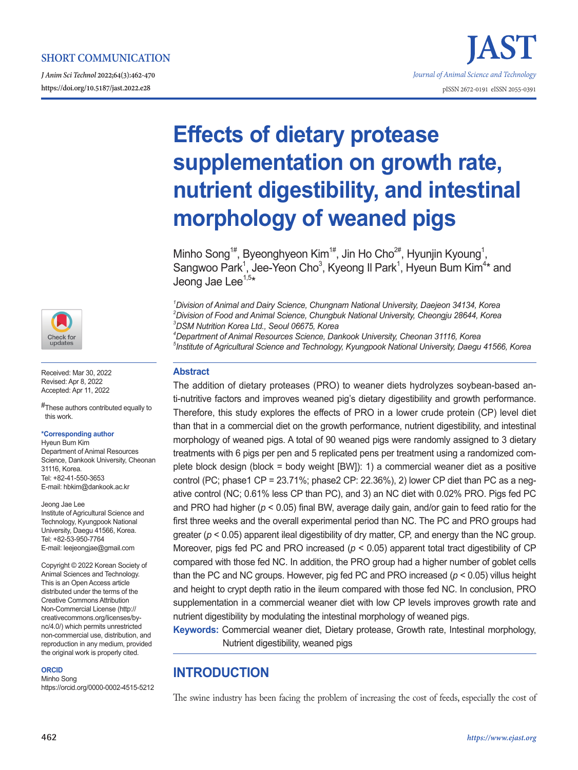*J Anim Sci Technol* **2022;64(3):462-470**





Received: Mar 30, 2022 Revised: Apr 8, 2022 Accepted: Apr 11, 2022

#These authors contributed equally to this work.

#### **\*Corresponding author**

Hyeun Bum Kim Department of Animal Resources Science, Dankook University, Cheonan 31116, Korea. Tel: +82-41-550-3653 E-mail: hbkim@dankook.ac.kr

Jeong Jae Lee Institute of Agricultural Science and Technology, Kyungpook National University, Daegu 41566, Korea. Tel: +82-53-950-7764 E-mail: leejeongjae@gmail.com

Copyright © 2022 Korean Society of Animal Sciences and Technology. This is an Open Access article distributed under the terms of the Creative Commons Attribution Non-Commercial License (http:// creativecommons.org/licenses/bync/4.0/) which permits unrestricted non-commercial use, distribution, and reproduction in any medium, provided the original work is properly cited.

#### **ORCID**

Minho Song https://orcid.org/0000-0002-4515-5212

# **Effects of dietary protease supplementation on growth rate, nutrient digestibility, and intestinal morphology of weaned pigs**

Minho Song<sup>1#</sup>, Byeonghyeon Kim<sup>1#</sup>, Jin Ho Cho<sup>2#</sup>, Hyunjin Kyoung<sup>1</sup>, Sangwoo Park<sup>1</sup>, Jee-Yeon Cho<sup>3</sup>, Kyeong II Park<sup>1</sup>, Hyeun Bum Kim<sup>4\*</sup> and Jeong Jae Lee<sup>1,5\*</sup>

*1 Division of Animal and Dairy Science, Chungnam National University, Daejeon 34134, Korea 2 Division of Food and Animal Science, Chungbuk National University, Cheongju 28644, Korea 3 DSM Nutrition Korea Ltd., Seoul 06675, Korea*

*4 Department of Animal Resources Science, Dankook University, Cheonan 31116, Korea 5 Institute of Agricultural Science and Technology, Kyungpook National University, Daegu 41566, Korea*

## **Abstract**

The addition of dietary proteases (PRO) to weaner diets hydrolyzes soybean-based anti-nutritive factors and improves weaned pig's dietary digestibility and growth performance. Therefore, this study explores the effects of PRO in a lower crude protein (CP) level diet than that in a commercial diet on the growth performance, nutrient digestibility, and intestinal morphology of weaned pigs. A total of 90 weaned pigs were randomly assigned to 3 dietary treatments with 6 pigs per pen and 5 replicated pens per treatment using a randomized complete block design (block = body weight [BW]): 1) a commercial weaner diet as a positive control (PC; phase1 CP =  $23.71\%$ ; phase2 CP:  $22.36\%$ ), 2) lower CP diet than PC as a negative control (NC; 0.61% less CP than PC), and 3) an NC diet with 0.02% PRO. Pigs fed PC and PRO had higher ( $p < 0.05$ ) final BW, average daily gain, and/or gain to feed ratio for the first three weeks and the overall experimental period than NC. The PC and PRO groups had greater (*p* < 0.05) apparent ileal digestibility of dry matter, CP, and energy than the NC group. Moreover, pigs fed PC and PRO increased ( $p < 0.05$ ) apparent total tract digestibility of CP compared with those fed NC. In addition, the PRO group had a higher number of goblet cells than the PC and NC groups. However, pig fed PC and PRO increased (*p* < 0.05) villus height and height to crypt depth ratio in the ileum compared with those fed NC. In conclusion, PRO supplementation in a commercial weaner diet with low CP levels improves growth rate and nutrient digestibility by modulating the intestinal morphology of weaned pigs.

**Keywords:** Commercial weaner diet, Dietary protease, Growth rate, Intestinal morphology, Nutrient digestibility, weaned pigs

# **INTRODUCTION**

The swine industry has been facing the problem of increasing the cost of feeds, especially the cost of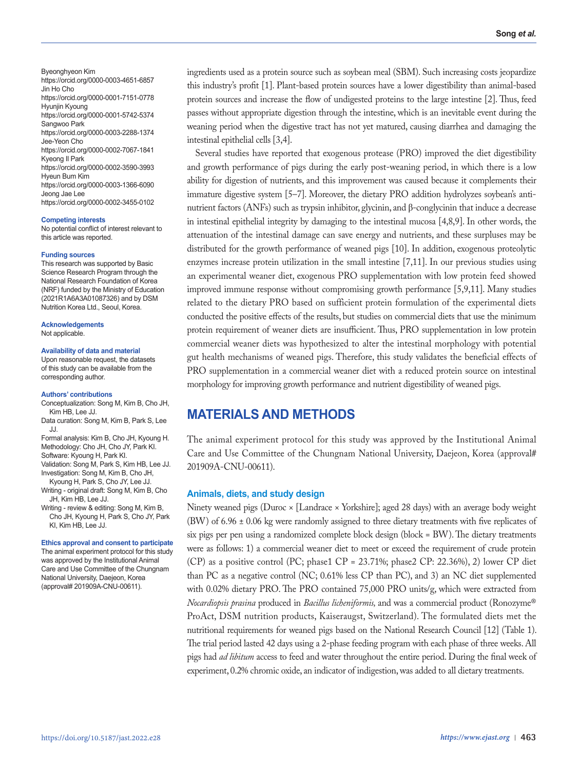Byeonghyeon Kim https://orcid.org/0000-0003-4651-6857 Jin Ho Cho https://orcid.org/0000-0001-7151-0778 Hyunjin Kyoung https://orcid.org/0000-0001-5742-5374 Sangwoo Park https://orcid.org/0000-0003-2288-1374 Jee-Yeon Cho https://orcid.org/0000-0002-7067-1841 Kyeong Il Park https://orcid.org/0000-0002-3590-3993 Hyeun Bum Kim https://orcid.org/0000-0003-1366-6090 Jeong Jae Lee https://orcid.org/0000-0002-3455-0102

#### **Competing interests**

No potential conflict of interest relevant to this article was reported.

#### **Funding sources**

This research was supported by Basic Science Research Program through the National Research Foundation of Korea (NRF) funded by the Ministry of Education (2021R1A6A3A01087326) and by DSM Nutrition Korea Ltd., Seoul, Korea.

**Acknowledgements** Not applicable.

#### **Availability of data and material**

Upon reasonable request, the datasets of this study can be available from the corresponding author.

#### **Authors' contributions**

KI, Kim HB, Lee JJ.

- Conceptualization: Song M, Kim B, Cho JH, Kim HB, Lee JJ.
- Data curation: Song M, Kim B, Park S, Lee JJ.

Formal analysis: Kim B, Cho JH, Kyoung H. Methodology: Cho JH, Cho JY, Park KI.

- Software: Kyoung H, Park KI. Validation: Song M, Park S, Kim HB, Lee JJ. Investigation: Song M, Kim B, Cho JH,
- Kyoung H, Park S, Cho JY, Lee JJ. Writing - original draft: Song M, Kim B, Cho
- JH, Kim HB, Lee JJ. Writing - review & editing: Song M, Kim B, Cho JH, Kyoung H, Park S, Cho JY, Park

## **Ethics approval and consent to participate**

The animal experiment protocol for this study was approved by the Institutional Animal Care and Use Committee of the Chungnam National University, Daejeon, Korea (approval# 201909A-CNU-00611).

ingredients used as a protein source such as soybean meal (SBM). Such increasing costs jeopardize this industry's profit [1]. Plant-based protein sources have a lower digestibility than animal-based protein sources and increase the flow of undigested proteins to the large intestine [2]. Thus, feed passes without appropriate digestion through the intestine, which is an inevitable event during the weaning period when the digestive tract has not yet matured, causing diarrhea and damaging the intestinal epithelial cells [3,4].

Several studies have reported that exogenous protease (PRO) improved the diet digestibility and growth performance of pigs during the early post-weaning period, in which there is a low ability for digestion of nutrients, and this improvement was caused because it complements their immature digestive system [5–7]. Moreover, the dietary PRO addition hydrolyzes soybean's antinutrient factors (ANFs) such as trypsin inhibitor, glycinin, and β-conglycinin that induce a decrease in intestinal epithelial integrity by damaging to the intestinal mucosa [4,8,9]. In other words, the attenuation of the intestinal damage can save energy and nutrients, and these surpluses may be distributed for the growth performance of weaned pigs [10]. In addition, exogenous proteolytic enzymes increase protein utilization in the small intestine [7,11]. In our previous studies using an experimental weaner diet, exogenous PRO supplementation with low protein feed showed improved immune response without compromising growth performance [5,9,11]. Many studies related to the dietary PRO based on sufficient protein formulation of the experimental diets conducted the positive effects of the results, but studies on commercial diets that use the minimum protein requirement of weaner diets are insufficient. Thus, PRO supplementation in low protein commercial weaner diets was hypothesized to alter the intestinal morphology with potential gut health mechanisms of weaned pigs. Therefore, this study validates the beneficial effects of PRO supplementation in a commercial weaner diet with a reduced protein source on intestinal morphology for improving growth performance and nutrient digestibility of weaned pigs.

## **MATERIALS AND METHODS**

The animal experiment protocol for this study was approved by the Institutional Animal Care and Use Committee of the Chungnam National University, Daejeon, Korea (approval# 201909A-CNU-00611).

#### **Animals, diets, and study design**

Ninety weaned pigs (Duroc × [Landrace × Yorkshire]; aged 28 days) with an average body weight (BW) of 6.96 ± 0.06 kg were randomly assigned to three dietary treatments with five replicates of six pigs per pen using a randomized complete block design (block = BW). The dietary treatments were as follows: 1) a commercial weaner diet to meet or exceed the requirement of crude protein (CP) as a positive control (PC; phase1 CP = 23.71%; phase2 CP: 22.36%), 2) lower CP diet than PC as a negative control (NC; 0.61% less CP than PC), and 3) an NC diet supplemented with 0.02% dietary PRO. The PRO contained 75,000 PRO units/g, which were extracted from *Nocardiopsis prasina* produced in *Bacillus licheniformis,* and was a commercial product (Ronozyme® ProAct, DSM nutrition products, Kaiseraugst, Switzerland). The formulated diets met the nutritional requirements for weaned pigs based on the National Research Council [12] (Table 1). The trial period lasted 42 days using a 2-phase feeding program with each phase of three weeks. All pigs had *ad libitum* access to feed and water throughout the entire period. During the final week of experiment, 0.2% chromic oxide, an indicator of indigestion, was added to all dietary treatments.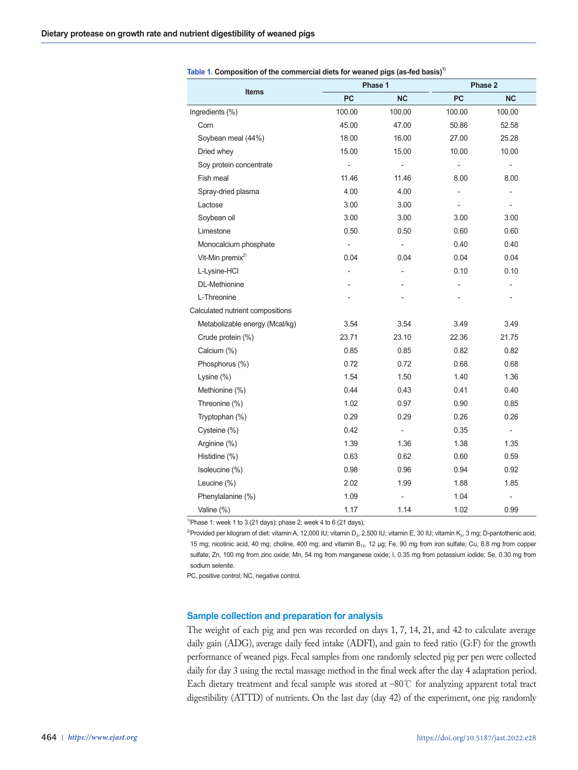| <b>Items</b>                     |                          | Phase 1        | Phase 2        |                          |  |
|----------------------------------|--------------------------|----------------|----------------|--------------------------|--|
|                                  | PC                       | <b>NC</b>      | <b>PC</b>      | <b>NC</b>                |  |
| Ingredients (%)                  | 100.00                   | 100.00         | 100.00         | 100.00                   |  |
| Corn                             | 45.00                    | 47.00          | 50.86          | 52.58                    |  |
| Soybean meal (44%)               | 18.00                    | 16.00          | 27.00          | 25.28                    |  |
| Dried whey                       | 15.00                    | 15.00          | 10.00          | 10.00                    |  |
| Soy protein concentrate          | $\overline{a}$           | $\overline{a}$ | $\overline{a}$ | $\frac{1}{2}$            |  |
| Fish meal                        | 11.46                    | 11.46          | 8.00           | 8.00                     |  |
| Spray-dried plasma               | 4.00                     | 4.00           |                | $\frac{1}{2}$            |  |
| Lactose                          | 3.00                     | 3.00           | L              | $\frac{1}{2}$            |  |
| Soybean oil                      | 3.00                     | 3.00           | 3.00           | 3.00                     |  |
| Limestone                        | 0.50                     | 0.50           | 0.60           | 0.60                     |  |
| Monocalcium phosphate            | $\overline{\phantom{a}}$ |                | 0.40           | 0.40                     |  |
| Vit-Min premix <sup>2)</sup>     | 0.04                     | 0.04           | 0.04           | 0.04                     |  |
| L-Lysine-HCl                     | $\overline{a}$           | $\overline{a}$ | 0.10           | 0.10                     |  |
| <b>DL-Methionine</b>             |                          |                |                | $\overline{a}$           |  |
| L-Threonine                      |                          |                |                | $\overline{\phantom{a}}$ |  |
| Calculated nutrient compositions |                          |                |                |                          |  |
| Metabolizable energy (Mcal/kg)   | 3.54                     | 3.54           | 3.49           | 3.49                     |  |
| Crude protein (%)                | 23.71                    | 23.10          | 22.36          | 21.75                    |  |
| Calcium (%)                      | 0.85                     | 0.85           | 0.82           | 0.82                     |  |
| Phosphorus (%)                   | 0.72                     | 0.72           | 0.68           | 0.68                     |  |
| Lysine $(\%)$                    | 1.54                     | 1.50           | 1.40           | 1.36                     |  |
| Methionine (%)                   | 0.44                     | 0.43           | 0.41           | 0.40                     |  |
| Threonine (%)                    | 1.02                     | 0.97           | 0.90           | 0.85                     |  |
| Tryptophan (%)                   | 0.29                     | 0.29           | 0.26           | 0.26                     |  |
| Cysteine (%)                     | 0.42                     | ÷              | 0.35           | $\overline{\phantom{a}}$ |  |
| Arginine (%)                     | 1.39                     | 1.36           | 1.38           | 1.35                     |  |
| Histidine (%)                    | 0.63                     | 0.62           | 0.60           | 0.59                     |  |
| Isoleucine (%)                   | 0.98                     | 0.96           | 0.94           | 0.92                     |  |
| Leucine (%)                      | 2.02                     | 1.99           | 1.88           | 1.85                     |  |
| Phenylalanine (%)                | 1.09                     |                | 1.04           |                          |  |
| Valine (%)                       | 1.17                     | 1.14           | 1.02           | 0.99                     |  |

| Table 1. Composition of the commercial diets for weaned pigs (as-fed basis) <sup>1)</sup> |
|-------------------------------------------------------------------------------------------|
|-------------------------------------------------------------------------------------------|

 $1$ <sup>1</sup>)Phase 1: week 1 to 3 (21 days); phase 2: week 4 to 6 (21 days);

<sup>2)</sup>Provided per kilogram of diet: vitamin A, 12,000 IU; vitamin D<sub>3</sub>, 2,500 IU; vitamin E, 30 IU; vitamin K<sub>3</sub>, 3 mg; D-pantothenic acid, 15 mg; nicotinic acid, 40 mg; choline, 400 mg; and vitamin B<sub>12</sub>, 12 μg; Fe, 90 mg from iron sulfate; Cu, 8.8 mg from copper sulfate; Zn, 100 mg from zinc oxide; Mn, 54 mg from manganese oxide; I, 0.35 mg from potassium iodide; Se, 0.30 mg from sodium selenite.

PC, positive control; NC, negative control.

## **Sample collection and preparation for analysis**

The weight of each pig and pen was recorded on days 1, 7, 14, 21, and 42 to calculate average daily gain (ADG), average daily feed intake (ADFI), and gain to feed ratio (G:F) for the growth performance of weaned pigs. Fecal samples from one randomly selected pig per pen were collected daily for day 3 using the rectal massage method in the final week after the day 4 adaptation period. Each dietary treatment and fecal sample was stored at –80℃ for analyzing apparent total tract digestibility (ATTD) of nutrients. On the last day (day 42) of the experiment, one pig randomly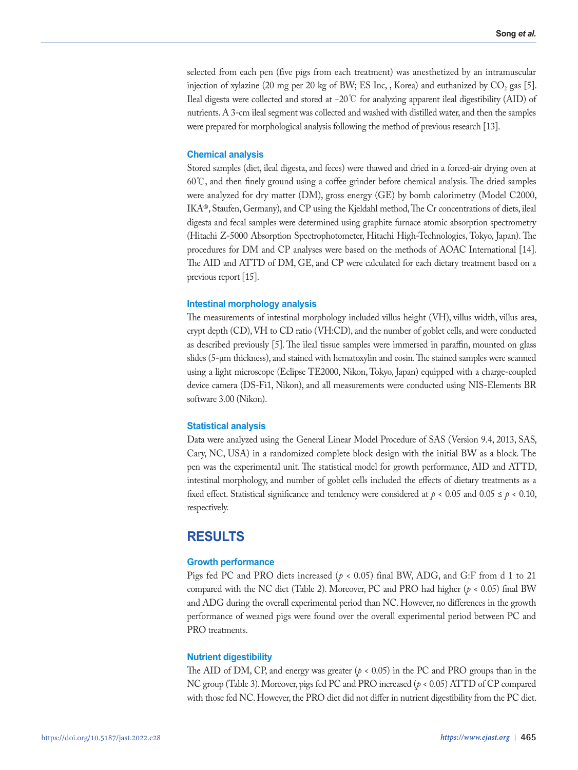selected from each pen (five pigs from each treatment) was anesthetized by an intramuscular injection of xylazine (20 mg per 20 kg of BW; ES Inc, , Korea) and euthanized by  $CO_2$  gas [5]. Ileal digesta were collected and stored at −20℃ for analyzing apparent ileal digestibility (AID) of nutrients. A 3-cm ileal segment was collected and washed with distilled water, and then the samples were prepared for morphological analysis following the method of previous research [13].

#### **Chemical analysis**

Stored samples (diet, ileal digesta, and feces) were thawed and dried in a forced-air drying oven at 60℃, and then finely ground using a coffee grinder before chemical analysis. The dried samples were analyzed for dry matter (DM), gross energy (GE) by bomb calorimetry (Model C2000, IKA®, Staufen, Germany), and CP using the Kjeldahl method, The Cr concentrations of diets, ileal digesta and fecal samples were determined using graphite furnace atomic absorption spectrometry (Hitachi Z-5000 Absorption Spectrophotometer, Hitachi High-Technologies, Tokyo, Japan). The procedures for DM and CP analyses were based on the methods of AOAC International [14]. The AID and ATTD of DM, GE, and CP were calculated for each dietary treatment based on a previous report [15].

#### **Intestinal morphology analysis**

The measurements of intestinal morphology included villus height (VH), villus width, villus area, crypt depth (CD), VH to CD ratio (VH:CD), and the number of goblet cells, and were conducted as described previously [5]. The ileal tissue samples were immersed in paraffin, mounted on glass slides (5-μm thickness), and stained with hematoxylin and eosin. The stained samples were scanned using a light microscope (Eclipse TE2000, Nikon, Tokyo, Japan) equipped with a charge-coupled device camera (DS-Fi1, Nikon), and all measurements were conducted using NIS-Elements BR software 3.00 (Nikon).

## **Statistical analysis**

Data were analyzed using the General Linear Model Procedure of SAS (Version 9.4, 2013, SAS, Cary, NC, USA) in a randomized complete block design with the initial BW as a block. The pen was the experimental unit. The statistical model for growth performance, AID and ATTD, intestinal morphology, and number of goblet cells included the effects of dietary treatments as a fixed effect. Statistical significance and tendency were considered at  $p < 0.05$  and  $0.05 \le p < 0.10$ , respectively.

## **RESULTS**

## **Growth performance**

Pigs fed PC and PRO diets increased (*p* < 0.05) final BW, ADG, and G:F from d 1 to 21 compared with the NC diet (Table 2). Moreover, PC and PRO had higher ( $p < 0.05$ ) final BW and ADG during the overall experimental period than NC. However, no differences in the growth performance of weaned pigs were found over the overall experimental period between PC and PRO treatments.

#### **Nutrient digestibility**

The AID of DM, CP, and energy was greater ( $p < 0.05$ ) in the PC and PRO groups than in the NC group (Table 3). Moreover, pigs fed PC and PRO increased (*p* < 0.05) ATTD of CP compared with those fed NC. However, the PRO diet did not differ in nutrient digestibility from the PC diet.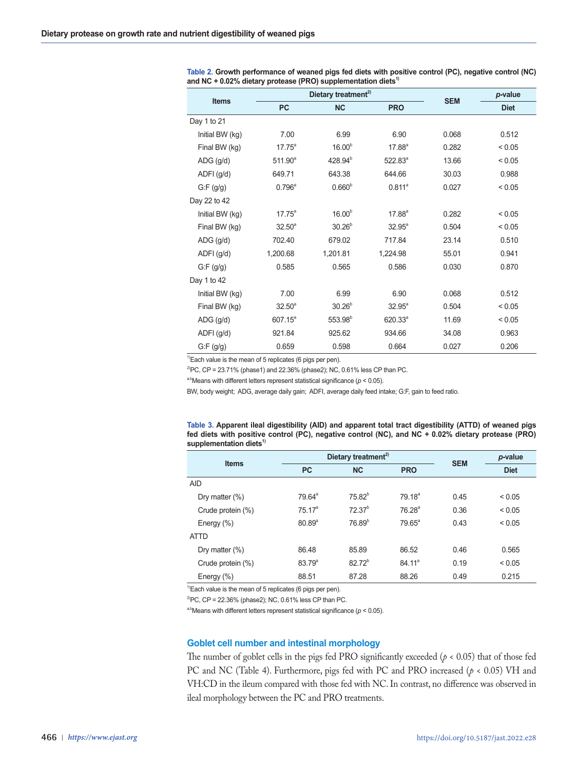|                        |                 | Dietary treatment <sup>2)</sup> | <b>SEM</b>          | p-value |             |
|------------------------|-----------------|---------------------------------|---------------------|---------|-------------|
| Items                  | <b>PC</b>       | <b>NC</b>                       | <b>PRO</b>          |         | <b>Diet</b> |
| Day 1 to 21            |                 |                                 |                     |         |             |
| Initial BW (kg)        | 7.00            | 6.99                            | 6.90                | 0.068   | 0.512       |
| Final BW (kg)          | $17.75^a$       | 16.00 <sup>b</sup>              | $17.88^{\circ}$     | 0.282   | ${}_{0.05}$ |
| $ADG$ (g/d)            | $511.90^a$      | 428.94 <sup>b</sup>             | $522.83^{a}$        | 13.66   | ${}_{0.05}$ |
| $ADFI$ (g/d)           | 649.71          | 643.38                          | 644.66              | 30.03   | 0.988       |
| $G$ :F $(g/g)$         | $0.796^{\circ}$ | $0.660^{b}$                     | $0.811^a$           | 0.027   | < 0.05      |
| Day 22 to 42           |                 |                                 |                     |         |             |
| Initial BW (kg)        | $17.75^a$       | $16.00^{b}$                     | $17.88^{a}$         | 0.282   | ${}_{0.05}$ |
| Final BW (kg)          | $32.50^{\circ}$ | 30.26 <sup>b</sup>              | $32.95^a$           | 0.504   | ${}_{0.05}$ |
| $\overline{ADG}$ (g/d) | 702.40          | 679.02                          | 717.84              | 23.14   | 0.510       |
| ADFI (g/d)             | 1,200.68        | 1,201.81                        | 1,224.98            | 55.01   | 0.941       |
| $G$ :F $(g/g)$         | 0.585           | 0.565                           | 0.586               | 0.030   | 0.870       |
| Day 1 to 42            |                 |                                 |                     |         |             |
| Initial BW (kg)        | 7.00            | 6.99                            | 6.90                | 0.068   | 0.512       |
| Final BW (kg)          | $32.50^{\circ}$ | 30.26 <sup>b</sup>              | $32.95^a$           | 0.504   | < 0.05      |
| $\overline{ADG}$ (g/d) | $607.15^a$      | 553.98 <sup>b</sup>             | 620.33 <sup>a</sup> | 11.69   | < 0.05      |
| ADFI (g/d)             | 921.84          | 925.62                          | 934.66              | 34.08   | 0.963       |
| $G$ :F $(g/g)$         | 0.659           | 0.598                           | 0.664               | 0.027   | 0.206       |

**Table 2. Growth performance of weaned pigs fed diets with positive control (PC), negative control (NC)**  and NC + 0.02% dietary protease (PRO) supplementation diets<sup>1)</sup>

 $1$ <sup>1)</sup>Each value is the mean of 5 replicates (6 pigs per pen).

 $^{2}$ PC, CP = 23.71% (phase1) and 22.36% (phase2); NC, 0.61% less CP than PC.

<sup>a,b</sup>Means with different letters represent statistical significance ( $p < 0.05$ ).

BW, body weight; ADG, average daily gain; ADFI, average daily feed intake; G:F, gain to feed ratio.

**Table 3. Apparent ileal digestibility (AID) and apparent total tract digestibility (ATTD) of weaned pigs fed diets with positive control (PC), negative control (NC), and NC + 0.02% dietary protease (PRO)**  supplementation diets<sup>1)</sup>

| <b>Items</b>      | Dietary treatment <sup>2)</sup> |             |                    | <b>SEM</b> | p-value     |
|-------------------|---------------------------------|-------------|--------------------|------------|-------------|
|                   | <b>PC</b>                       | <b>NC</b>   | <b>PRO</b>         |            | <b>Diet</b> |
| <b>AID</b>        |                                 |             |                    |            |             |
| Dry matter $(\%)$ | $79.64^{\circ}$                 | $75.82^{b}$ | 79.18 <sup>a</sup> | 0.45       | ${}_{0.05}$ |
| Crude protein (%) | 75.17 <sup>a</sup>              | $72.37^{b}$ | 76.28 <sup>a</sup> | 0.36       | ${}_{0.05}$ |
| Energy (%)        | $80.89^{a}$                     | $76.89^{b}$ | $79.65^{\circ}$    | 0.43       | ${}_{0.05}$ |
| <b>ATTD</b>       |                                 |             |                    |            |             |
| Dry matter $(\%)$ | 86.48                           | 85.89       | 86.52              | 0.46       | 0.565       |
| Crude protein (%) | $83.79^{a}$                     | $82.72^{b}$ | 84.11 <sup>a</sup> | 0.19       | ${}_{0.05}$ |
| Energy (%)        | 88.51                           | 87.28       | 88.26              | 0.49       | 0.215       |

 $\overline{^{1}}$ Each value is the mean of 5 replicates (6 pigs per pen).

<sup>2)</sup>PC, CP = 22.36% (phase2); NC, 0.61% less CP than PC.

a,bMeans with different letters represent statistical significance ( $p < 0.05$ ).

## **Goblet cell number and intestinal morphology**

The number of goblet cells in the pigs fed PRO significantly exceeded (*p* < 0.05) that of those fed PC and NC (Table 4). Furthermore, pigs fed with PC and PRO increased (*p* < 0.05) VH and VH:CD in the ileum compared with those fed with NC. In contrast, no difference was observed in ileal morphology between the PC and PRO treatments.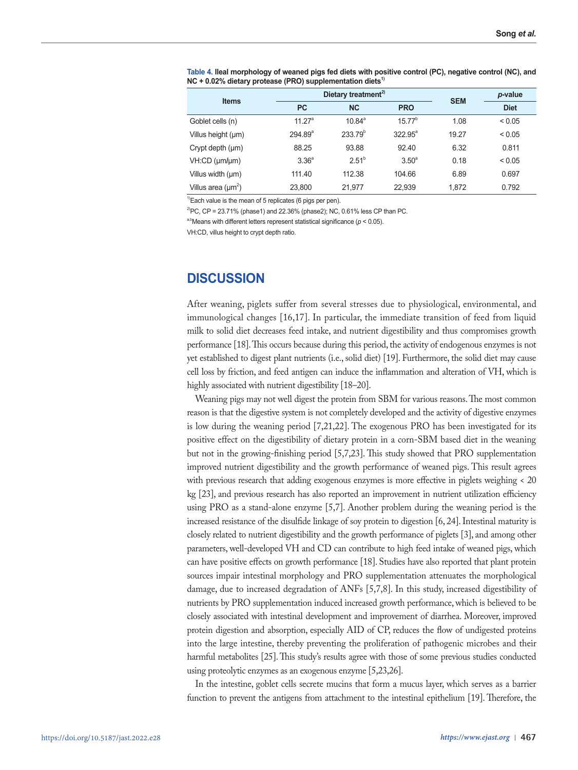| <b>Items</b>            |                       | Dietary treatment <sup>2)</sup> | <b>SEM</b>        | p-value |             |
|-------------------------|-----------------------|---------------------------------|-------------------|---------|-------------|
|                         | <b>PC</b>             | <b>NC</b>                       | <b>PRO</b>        |         | <b>Diet</b> |
| Goblet cells (n)        | 11 $27^a$             | $10.84^{\circ}$                 | $15.77^{b}$       | 1.08    | < 0.05      |
| Villus height (µm)      | $294.89$ <sup>a</sup> | $233.79^{b}$                    | $322.95^{\circ}$  | 19.27   | < 0.05      |
| Crypt depth $(\mu m)$   | 88.25                 | 93.88                           | 92.40             | 6.32    | 0.811       |
| $VH:CD$ ( $µm/µm$ )     | 3.36 <sup>a</sup>     | $2.51^{b}$                      | 3.50 <sup>a</sup> | 0.18    | < 0.05      |
| Villus width (µm)       | 111.40                | 112.38                          | 104.66            | 6.89    | 0.697       |
| Villus area $(\mu m^2)$ | 23.800                | 21.977                          | 22,939            | 1.872   | 0.792       |

**Table 4. Ileal morphology of weaned pigs fed diets with positive control (PC), negative control (NC), and**  NC + 0.02% dietary protease (PRO) supplementation diets<sup>1)</sup>

 $1$ <sup>1)</sup>Each value is the mean of 5 replicates (6 pigs per pen).

 $^{2}$ PC, CP = 23.71% (phase1) and 22.36% (phase2); NC, 0.61% less CP than PC.

a,bMeans with different letters represent statistical significance ( $p < 0.05$ ).

VH:CD, villus height to crypt depth ratio.

## **DISCUSSION**

After weaning, piglets suffer from several stresses due to physiological, environmental, and immunological changes [16,17]. In particular, the immediate transition of feed from liquid milk to solid diet decreases feed intake, and nutrient digestibility and thus compromises growth performance [18]. This occurs because during this period, the activity of endogenous enzymes is not yet established to digest plant nutrients (i.e., solid diet) [19]. Furthermore, the solid diet may cause cell loss by friction, and feed antigen can induce the inflammation and alteration of VH, which is highly associated with nutrient digestibility [18–20].

Weaning pigs may not well digest the protein from SBM for various reasons. The most common reason is that the digestive system is not completely developed and the activity of digestive enzymes is low during the weaning period [7,21,22]. The exogenous PRO has been investigated for its positive effect on the digestibility of dietary protein in a corn-SBM based diet in the weaning but not in the growing-finishing period [5,7,23]. This study showed that PRO supplementation improved nutrient digestibility and the growth performance of weaned pigs. This result agrees with previous research that adding exogenous enzymes is more effective in piglets weighing < 20 kg [23], and previous research has also reported an improvement in nutrient utilization efficiency using PRO as a stand-alone enzyme [5,7]. Another problem during the weaning period is the increased resistance of the disulfide linkage of soy protein to digestion [6, 24]. Intestinal maturity is closely related to nutrient digestibility and the growth performance of piglets [3], and among other parameters, well-developed VH and CD can contribute to high feed intake of weaned pigs, which can have positive effects on growth performance [18]. Studies have also reported that plant protein sources impair intestinal morphology and PRO supplementation attenuates the morphological damage, due to increased degradation of ANFs [5,7,8]. In this study, increased digestibility of nutrients by PRO supplementation induced increased growth performance, which is believed to be closely associated with intestinal development and improvement of diarrhea. Moreover, improved protein digestion and absorption, especially AID of CP, reduces the flow of undigested proteins into the large intestine, thereby preventing the proliferation of pathogenic microbes and their harmful metabolites [25]. This study's results agree with those of some previous studies conducted using proteolytic enzymes as an exogenous enzyme [5,23,26].

In the intestine, goblet cells secrete mucins that form a mucus layer, which serves as a barrier function to prevent the antigens from attachment to the intestinal epithelium [19]. Therefore, the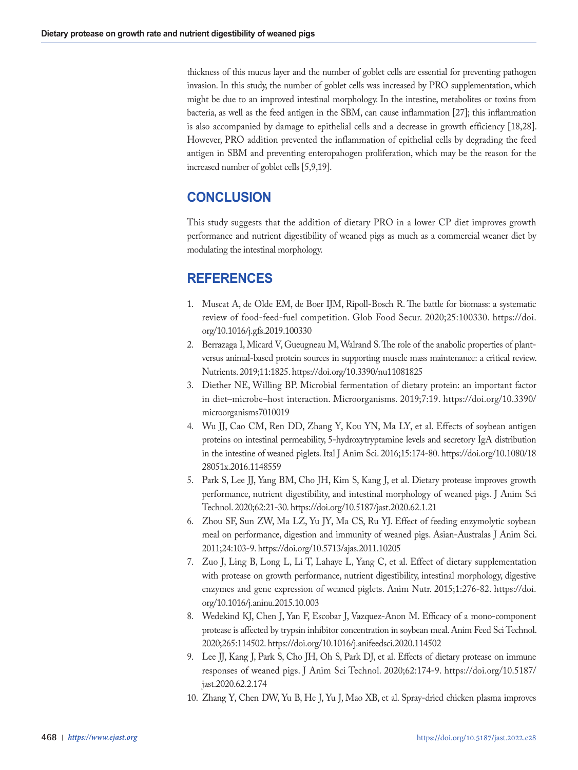thickness of this mucus layer and the number of goblet cells are essential for preventing pathogen invasion. In this study, the number of goblet cells was increased by PRO supplementation, which might be due to an improved intestinal morphology. In the intestine, metabolites or toxins from bacteria, as well as the feed antigen in the SBM, can cause inflammation [27]; this inflammation is also accompanied by damage to epithelial cells and a decrease in growth efficiency [18,28]. However, PRO addition prevented the inflammation of epithelial cells by degrading the feed antigen in SBM and preventing enteropahogen proliferation, which may be the reason for the increased number of goblet cells [5,9,19].

# **CONCLUSION**

This study suggests that the addition of dietary PRO in a lower CP diet improves growth performance and nutrient digestibility of weaned pigs as much as a commercial weaner diet by modulating the intestinal morphology.

# **REFERENCES**

- 1. Muscat A, de Olde EM, de Boer IJM, Ripoll-Bosch R. The battle for biomass: a systematic review of food-feed-fuel competition. Glob Food Secur. 2020;25:100330. https://doi. org/10.1016/j.gfs.2019.100330
- 2. Berrazaga I, Micard V, Gueugneau M, Walrand S. The role of the anabolic properties of plantversus animal-based protein sources in supporting muscle mass maintenance: a critical review. Nutrients. 2019;11:1825. https://doi.org/10.3390/nu11081825
- 3. Diether NE, Willing BP. Microbial fermentation of dietary protein: an important factor in diet–microbe–host interaction. Microorganisms. 2019;7:19. https://doi.org/10.3390/ microorganisms7010019
- 4. Wu JJ, Cao CM, Ren DD, Zhang Y, Kou YN, Ma LY, et al. Effects of soybean antigen proteins on intestinal permeability, 5-hydroxytryptamine levels and secretory IgA distribution in the intestine of weaned piglets. Ital J Anim Sci. 2016;15:174-80. https://doi.org/10.1080/18 28051x.2016.1148559
- 5. Park S, Lee JJ, Yang BM, Cho JH, Kim S, Kang J, et al. Dietary protease improves growth performance, nutrient digestibility, and intestinal morphology of weaned pigs. J Anim Sci Technol. 2020;62:21-30. https://doi.org/10.5187/jast.2020.62.1.21
- 6. Zhou SF, Sun ZW, Ma LZ, Yu JY, Ma CS, Ru YJ. Effect of feeding enzymolytic soybean meal on performance, digestion and immunity of weaned pigs. Asian-Australas J Anim Sci. 2011;24:103-9. https://doi.org/10.5713/ajas.2011.10205
- 7. Zuo J, Ling B, Long L, Li T, Lahaye L, Yang C, et al. Effect of dietary supplementation with protease on growth performance, nutrient digestibility, intestinal morphology, digestive enzymes and gene expression of weaned piglets. Anim Nutr. 2015;1:276-82. https://doi. org/10.1016/j.aninu.2015.10.003
- 8. Wedekind KJ, Chen J, Yan F, Escobar J, Vazquez-Anon M. Efficacy of a mono-component protease is affected by trypsin inhibitor concentration in soybean meal. Anim Feed Sci Technol. 2020;265:114502. https://doi.org/10.1016/j.anifeedsci.2020.114502
- 9. Lee JJ, Kang J, Park S, Cho JH, Oh S, Park DJ, et al. Effects of dietary protease on immune responses of weaned pigs. J Anim Sci Technol. 2020;62:174-9. https://doi.org/10.5187/ jast.2020.62.2.174
- 10. Zhang Y, Chen DW, Yu B, He J, Yu J, Mao XB, et al. Spray-dried chicken plasma improves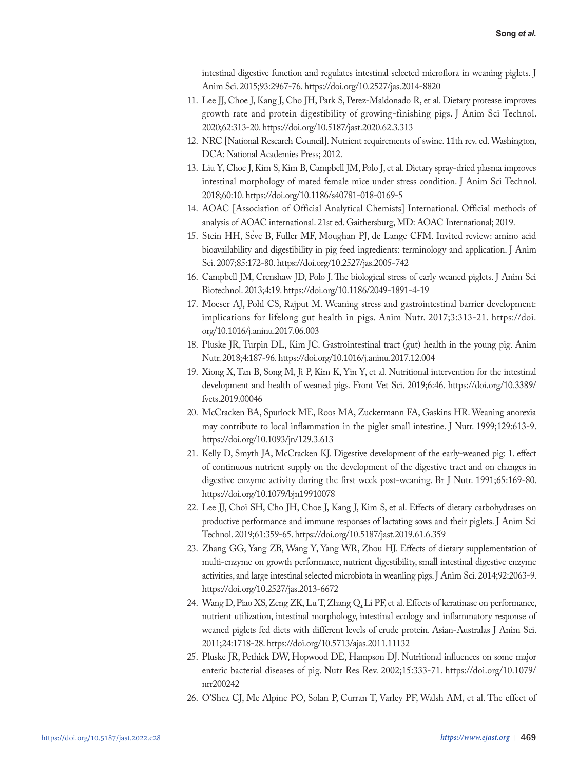intestinal digestive function and regulates intestinal selected microflora in weaning piglets. J Anim Sci. 2015;93:2967-76. https://doi.org/10.2527/jas.2014-8820

- 11. Lee JJ, Choe J, Kang J, Cho JH, Park S, Perez-Maldonado R, et al. Dietary protease improves growth rate and protein digestibility of growing-finishing pigs. J Anim Sci Technol. 2020;62:313-20. https://doi.org/10.5187/jast.2020.62.3.313
- 12. NRC [National Research Council]. Nutrient requirements of swine. 11th rev. ed. Washington, DCA: National Academies Press; 2012.
- 13. Liu Y, Choe J, Kim S, Kim B, Campbell JM, Polo J, et al. Dietary spray-dried plasma improves intestinal morphology of mated female mice under stress condition. J Anim Sci Technol. 2018;60:10. https://doi.org/10.1186/s40781-018-0169-5
- 14. AOAC [Association of Official Analytical Chemists] International. Official methods of analysis of AOAC international. 21st ed. Gaithersburg, MD: AOAC International; 2019.
- 15. Stein HH, Seve B, Fuller MF, Moughan PJ, de Lange CFM. Invited review: amino acid ̀ bioavailability and digestibility in pig feed ingredients: terminology and application. J Anim Sci. 2007;85:172-80. https://doi.org/10.2527/jas.2005-742
- 16. Campbell JM, Crenshaw JD, Polo J. The biological stress of early weaned piglets. J Anim Sci Biotechnol. 2013;4:19. https://doi.org/10.1186/2049-1891-4-19
- 17. Moeser AJ, Pohl CS, Rajput M. Weaning stress and gastrointestinal barrier development: implications for lifelong gut health in pigs. Anim Nutr. 2017;3:313-21. https://doi. org/10.1016/j.aninu.2017.06.003
- 18. Pluske JR, Turpin DL, Kim JC. Gastrointestinal tract (gut) health in the young pig. Anim Nutr. 2018;4:187-96. https://doi.org/10.1016/j.aninu.2017.12.004
- 19. Xiong X, Tan B, Song M, Ji P, Kim K, Yin Y, et al. Nutritional intervention for the intestinal development and health of weaned pigs. Front Vet Sci. 2019;6:46. https://doi.org/10.3389/ fvets.2019.00046
- 20. McCracken BA, Spurlock ME, Roos MA, Zuckermann FA, Gaskins HR. Weaning anorexia may contribute to local inflammation in the piglet small intestine. J Nutr. 1999;129:613-9. https://doi.org/10.1093/jn/129.3.613
- 21. Kelly D, Smyth JA, McCracken KJ. Digestive development of the early-weaned pig: 1. effect of continuous nutrient supply on the development of the digestive tract and on changes in digestive enzyme activity during the first week post-weaning. Br J Nutr. 1991;65:169-80. https://doi.org/10.1079/bjn19910078
- 22. Lee JJ, Choi SH, Cho JH, Choe J, Kang J, Kim S, et al. Effects of dietary carbohydrases on productive performance and immune responses of lactating sows and their piglets. J Anim Sci Technol. 2019;61:359-65. https://doi.org/10.5187/jast.2019.61.6.359
- 23. Zhang GG, Yang ZB, Wang Y, Yang WR, Zhou HJ. Effects of dietary supplementation of multi-enzyme on growth performance, nutrient digestibility, small intestinal digestive enzyme activities, and large intestinal selected microbiota in weanling pigs. J Anim Sci. 2014;92:2063-9. https://doi.org/10.2527/jas.2013-6672
- 24. Wang D, Piao XS, Zeng ZK, Lu T, Zhang Q, Li PF, et al. Effects of keratinase on performance, nutrient utilization, intestinal morphology, intestinal ecology and inflammatory response of weaned piglets fed diets with different levels of crude protein. Asian-Australas J Anim Sci. 2011;24:1718-28. https://doi.org/10.5713/ajas.2011.11132
- 25. Pluske JR, Pethick DW, Hopwood DE, Hampson DJ. Nutritional influences on some major enteric bacterial diseases of pig. Nutr Res Rev. 2002;15:333-71. https://doi.org/10.1079/ nrr200242
- 26. O'Shea CJ, Mc Alpine PO, Solan P, Curran T, Varley PF, Walsh AM, et al. The effect of